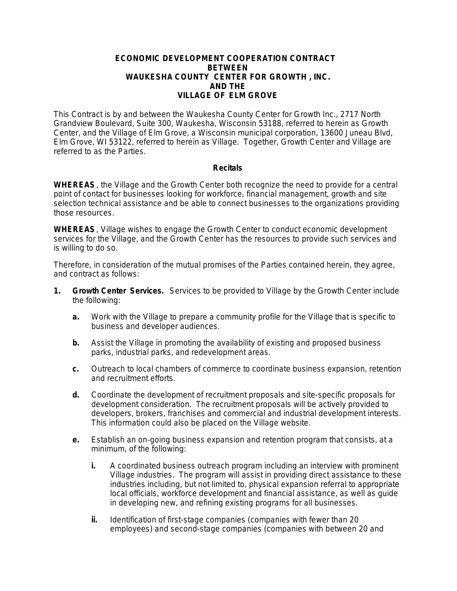## **ECONOMIC DEVELOPMENT COOPERATION CONTRACT BETWEEN WAUKESHA COUNTY CENTER FOR GROWTH , INC. AND THE VILLAGE OF ELM GROVE**

This Contract is by and between the Waukesha County Center for Growth Inc., 2717 North Grandview Boulevard, Suite 300, Waukesha, Wisconsin 53188, referred to herein as Growth Center, and the Village of Elm Grove, a Wisconsin municipal corporation, 13600 Juneau Blvd, Elm Grove, WI 53122, referred to herein as Village. Together, Growth Center and Village are referred to as the Parties.

## **Recitals**

**WHEREAS**, the Village and the Growth Center both recognize the need to provide for a central point of contact for businesses looking for workforce, financial management, growth and site selection technical assistance and be able to connect businesses to the organizations providing those resources.

**WHEREAS**, Village wishes to engage the Growth Center to conduct economic development services for the Village, and the Growth Center has the resources to provide such services and is willing to do so.

Therefore, in consideration of the mutual promises of the Parties contained herein, they agree, and contract as follows:

- **1. Growth Center Services.** Services to be provided to Village by the Growth Center include the following:
	- **a.** Work with the Village to prepare a community profile for the Village that is specific to business and developer audiences.
	- **b.** Assist the Village in promoting the availability of existing and proposed business parks, industrial parks, and redevelopment areas.
	- **c.** Outreach to local chambers of commerce to coordinate business expansion, retention and recruitment efforts.
	- **d.** Coordinate the development of recruitment proposals and site-specific proposals for development consideration. The recruitment proposals will be actively provided to developers, brokers, franchises and commercial and industrial development interests. This information could also be placed on the Village website.
	- **e.** Establish an on-going business expansion and retention program that consists, at a minimum, of the following:
		- **i.** A coordinated business outreach program including an interview with prominent Village industries. The program will assist in providing direct assistance to these industries including, but not limited to, physical expansion referral to appropriate local officials, workforce development and financial assistance, as well as guide in developing new, and refining existing programs for all businesses.
		- **ii.** Identification of first-stage companies (companies with fewer than 20 employees) and second-stage companies (companies with between 20 and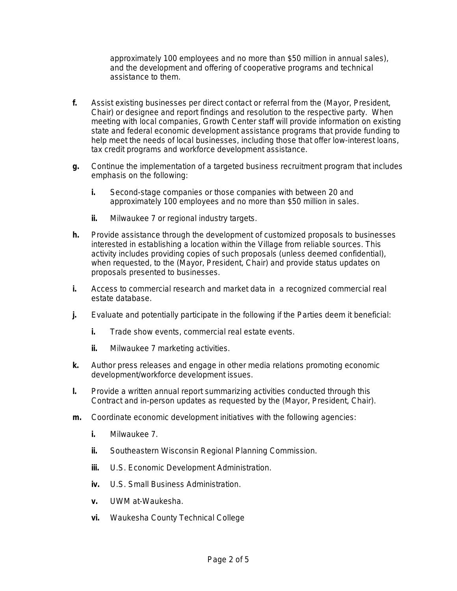approximately 100 employees and no more than \$50 million in annual sales), and the development and offering of cooperative programs and technical assistance to them.

- **f.** Assist existing businesses per direct contact or referral from the (Mayor, President, Chair) or designee and report findings and resolution to the respective party. When meeting with local companies, Growth Center staff will provide information on existing state and federal economic development assistance programs that provide funding to help meet the needs of local businesses, including those that offer low-interest loans, tax credit programs and workforce development assistance.
- **g.** Continue the implementation of a targeted business recruitment program that includes emphasis on the following:
	- **i.** Second-stage companies or those companies with between 20 and approximately 100 employees and no more than \$50 million in sales.
	- **ii.** Milwaukee 7 or regional industry targets.
- **h.** Provide assistance through the development of customized proposals to businesses interested in establishing a location within the Village from reliable sources. This activity includes providing copies of such proposals (unless deemed confidential), when requested, to the (Mayor, President, Chair) and provide status updates on proposals presented to businesses.
- **i.** Access to commercial research and market data in a recognized commercial real estate database.
- **j.** Evaluate and potentially participate in the following if the Parties deem it beneficial:
	- **i.** Trade show events, commercial real estate events.
	- **ii.** Milwaukee 7 marketing activities.
- **k.** Author press releases and engage in other media relations promoting economic development/workforce development issues.
- **l.** Provide a written annual report summarizing activities conducted through this Contract and in-person updates as requested by the (Mayor, President, Chair).
- **m.** Coordinate economic development initiatives with the following agencies:
	- **i.** Milwaukee 7.
	- **ii.** Southeastern Wisconsin Regional Planning Commission.
	- **iii.** U.S. Economic Development Administration.
	- **iv.** U.S. Small Business Administration.
	- **v.** UWM at-Waukesha.
	- **vi.** Waukesha County Technical College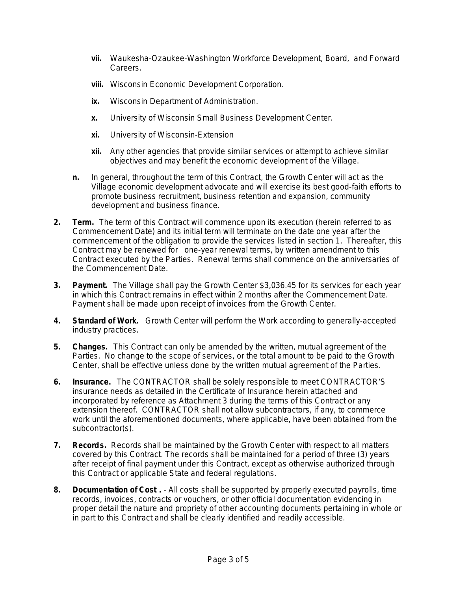- **vii.** Waukesha-Ozaukee-Washington Workforce Development, Board, and Forward Careers.
- **viii.** Wisconsin Economic Development Corporation.
- **ix.** Wisconsin Department of Administration.
- **x.** University of Wisconsin Small Business Development Center.
- **xi.** University of Wisconsin-Extension
- **xii.** Any other agencies that provide similar services or attempt to achieve similar objectives and may benefit the economic development of the Village.
- **n.** In general, throughout the term of this Contract, the Growth Center will act as the Village economic development advocate and will exercise its best good-faith efforts to promote business recruitment, business retention and expansion, community development and business finance.
- **2. Term.** The term of this Contract will commence upon its execution (herein referred to as Commencement Date) and its initial term will terminate on the date one year after the commencement of the obligation to provide the services listed in section 1. Thereafter, this Contract may be renewed for one-year renewal terms, by written amendment to this Contract executed by the Parties. Renewal terms shall commence on the anniversaries of the Commencement Date.
- **3. Payment.** The Village shall pay the Growth Center \$3,036.45 for its services for each year in which this Contract remains in effect within 2 months after the Commencement Date. Payment shall be made upon receipt of invoices from the Growth Center.
- **4. Standard of Work.** Growth Center will perform the Work according to generally-accepted industry practices.
- **5. Changes.** This Contract can only be amended by the written, mutual agreement of the Parties. No change to the scope of services, or the total amount to be paid to the Growth Center, shall be effective unless done by the written mutual agreement of the Parties.
- **6. Insurance.** The CONTRACTOR shall be solely responsible to meet CONTRACTOR'S insurance needs as detailed in the Certificate of Insurance herein attached and incorporated by reference as Attachment 3 during the terms of this Contract or any extension thereof. CONTRACTOR shall not allow subcontractors, if any, to commerce work until the aforementioned documents, where applicable, have been obtained from the subcontractor(s).
- **7. Records.** Records shall be maintained by the Growth Center with respect to all matters covered by this Contract. The records shall be maintained for a period of three (3) years after receipt of final payment under this Contract, except as otherwise authorized through this Contract or applicable State and federal regulations.
- **8. Documentation of Cost .** All costs shall be supported by properly executed payrolls, time records, invoices, contracts or vouchers, or other official documentation evidencing in proper detail the nature and propriety of other accounting documents pertaining in whole or in part to this Contract and shall be clearly identified and readily accessible.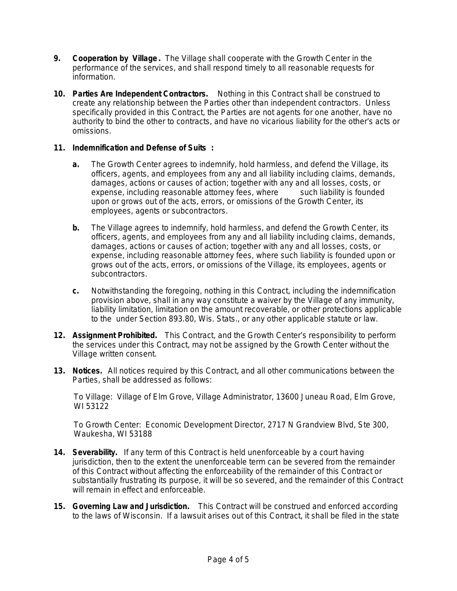- **9. Cooperation by Village.** The Village shall cooperate with the Growth Center in the performance of the services, and shall respond timely to all reasonable requests for information.
- **10. Parties Are Independent Contractors.** Nothing in this Contract shall be construed to create any relationship between the Parties other than independent contractors. Unless specifically provided in this Contract, the Parties are not agents for one another, have no authority to bind the other to contracts, and have no vicarious liability for the other's acts or omissions.

## **11. Indemnification and Defense of Suits :**

- **a.** The Growth Center agrees to indemnify, hold harmless, and defend the Village, its officers, agents, and employees from any and all liability including claims, demands, damages, actions or causes of action; together with any and all losses, costs, or expense, including reasonable attorney fees, where such liability is founded upon or grows out of the acts, errors, or omissions of the Growth Center, its employees, agents or subcontractors.
- **b.** The Village agrees to indemnify, hold harmless, and defend the Growth Center, its officers, agents, and employees from any and all liability including claims, demands, damages, actions or causes of action; together with any and all losses, costs, or expense, including reasonable attorney fees, where such liability is founded upon or grows out of the acts, errors, or omissions of the Village, its employees, agents or subcontractors.
- **c.** Notwithstanding the foregoing, nothing in this Contract, including the indemnification provision above, shall in any way constitute a waiver by the Village of any immunity, liability limitation, limitation on the amount recoverable, or other protections applicable to the under Section 893.80, Wis. Stats., or any other applicable statute or law.
- **12. Assignment Prohibited.** This Contract, and the Growth Center's responsibility to perform the services under this Contract, may not be assigned by the Growth Center without the Village written consent.
- **13. Notices.** All notices required by this Contract, and all other communications between the Parties, shall be addressed as follows:

To Village: Village of Elm Grove, Village Administrator, 13600 Juneau Road, Elm Grove, WI 53122

To Growth Center: Economic Development Director, 2717 N Grandview Blvd, Ste 300, Waukesha, WI 53188

- **14. Severability.** If any term of this Contract is held unenforceable by a court having jurisdiction, then to the extent the unenforceable term can be severed from the remainder of this Contract without affecting the enforceability of the remainder of this Contract or substantially frustrating its purpose, it will be so severed, and the remainder of this Contract will remain in effect and enforceable.
- **15. Governing Law and Jurisdiction.** This Contract will be construed and enforced according to the laws of Wisconsin. If a lawsuit arises out of this Contract, it shall be filed in the state